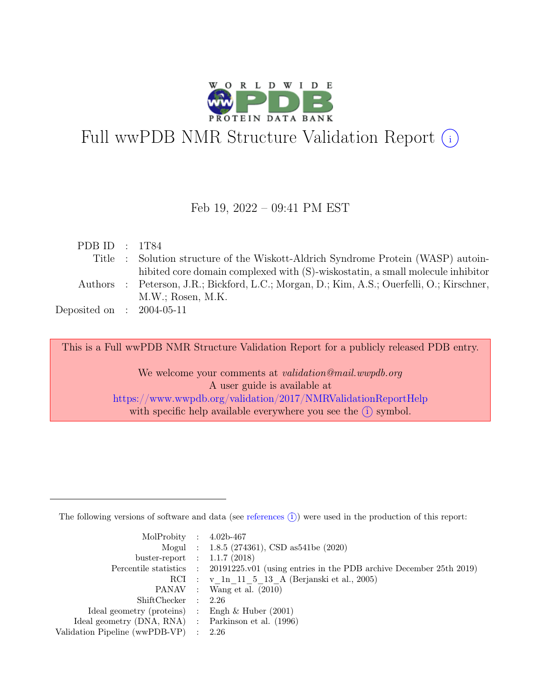

# Full wwPDB NMR Structure Validation Report  $\textcircled{\textsc{i}}$

#### Feb 19, 2022 – 09:41 PM EST

| PDB ID : $1T84$             |                                                                                            |
|-----------------------------|--------------------------------------------------------------------------------------------|
|                             | Title : Solution structure of the Wiskott-Aldrich Syndrome Protein (WASP) autoin-          |
|                             | hibited core domain complexed with (S)-wiskostatin, a small molecule inhibitor             |
|                             | Authors : Peterson, J.R.; Bickford, L.C.; Morgan, D.; Kim, A.S.; Ouerfelli, O.; Kirschner, |
|                             | M.W.: Rosen, M.K.                                                                          |
| Deposited on : $2004-05-11$ |                                                                                            |
|                             |                                                                                            |

This is a Full wwPDB NMR Structure Validation Report for a publicly released PDB entry.

We welcome your comments at *validation@mail.wwpdb.org* A user guide is available at <https://www.wwpdb.org/validation/2017/NMRValidationReportHelp> with specific help available everywhere you see the  $(i)$  symbol.

The following versions of software and data (see [references](https://www.wwpdb.org/validation/2017/NMRValidationReportHelp#references)  $(i)$ ) were used in the production of this report:

| MolProbity : $4.02b-467$                            |                                                                                            |
|-----------------------------------------------------|--------------------------------------------------------------------------------------------|
|                                                     | Mogul : 1.8.5 (274361), CSD as541be (2020)                                                 |
| buster-report : $1.1.7$ (2018)                      |                                                                                            |
|                                                     | Percentile statistics : 20191225.v01 (using entries in the PDB archive December 25th 2019) |
|                                                     | RCI : v 1n 11 5 13 A (Berjanski et al., 2005)                                              |
|                                                     | PANAV : Wang et al. $(2010)$                                                               |
| ShiftChecker : 2.26                                 |                                                                                            |
| Ideal geometry (proteins) : Engh $\&$ Huber (2001)  |                                                                                            |
| Ideal geometry (DNA, RNA) : Parkinson et al. (1996) |                                                                                            |
| Validation Pipeline (wwPDB-VP)                      | : 2.26                                                                                     |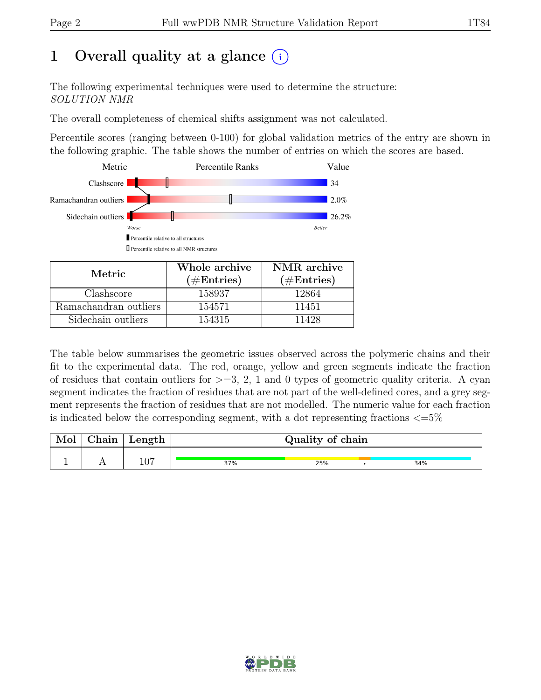# 1 Overall quality at a glance  $(i)$

The following experimental techniques were used to determine the structure: SOLUTION NMR

The overall completeness of chemical shifts assignment was not calculated.

Percentile scores (ranging between 0-100) for global validation metrics of the entry are shown in the following graphic. The table shows the number of entries on which the scores are based.



| Metric.               | Whole archive<br>$(\#Entries)$ | NMR archive<br>$(\#Entries)$ |
|-----------------------|--------------------------------|------------------------------|
| Clashscore            | 158937                         | 12864                        |
| Ramachandran outliers | 154571                         | 11451                        |
| Sidechain outliers    | 154315                         | 11428                        |

The table below summarises the geometric issues observed across the polymeric chains and their fit to the experimental data. The red, orange, yellow and green segments indicate the fraction of residues that contain outliers for  $>=$  3, 2, 1 and 0 types of geometric quality criteria. A cyan segment indicates the fraction of residues that are not part of the well-defined cores, and a grey segment represents the fraction of residues that are not modelled. The numeric value for each fraction is indicated below the corresponding segment, with a dot representing fractions  $\langle=5\%$ 

| Mol | Chain | $\perp$ Length | Quality of chain |     |  |     |  |
|-----|-------|----------------|------------------|-----|--|-----|--|
|     |       | 107            | 37%              | 25% |  | 34% |  |

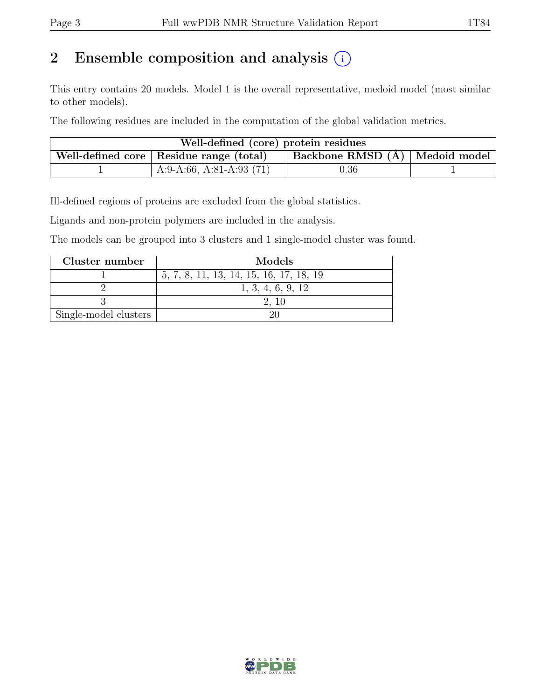## 2 Ensemble composition and analysis  $(i)$

This entry contains 20 models. Model 1 is the overall representative, medoid model (most similar to other models).

The following residues are included in the computation of the global validation metrics.

| Well-defined (core) protein residues                                            |                            |            |  |  |  |  |  |
|---------------------------------------------------------------------------------|----------------------------|------------|--|--|--|--|--|
| Backbone RMSD (Å)   Medoid model  <br>Well-defined core   Residue range (total) |                            |            |  |  |  |  |  |
|                                                                                 | A:9-A:66, A:81-A:93 $(71)$ | $\rm 0.36$ |  |  |  |  |  |

Ill-defined regions of proteins are excluded from the global statistics.

Ligands and non-protein polymers are included in the analysis.

The models can be grouped into 3 clusters and 1 single-model cluster was found.

| Cluster number        | Models                                  |
|-----------------------|-----------------------------------------|
|                       | 5, 7, 8, 11, 13, 14, 15, 16, 17, 18, 19 |
|                       | 1, 3, 4, 6, 9, 12                       |
|                       |                                         |
| Single-model clusters |                                         |

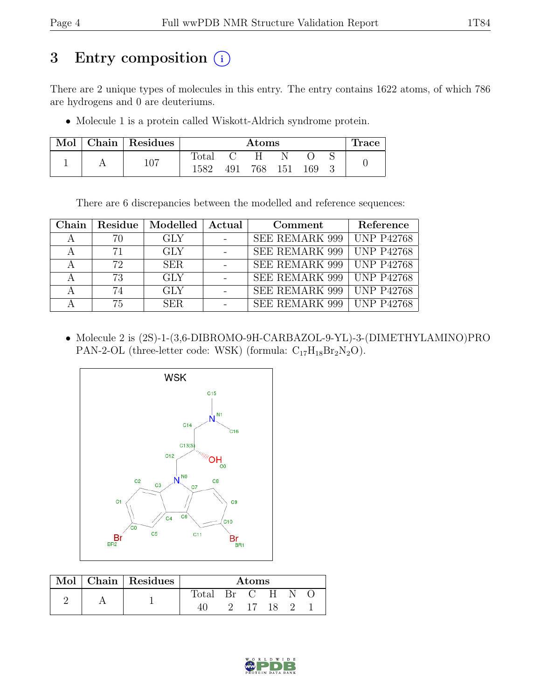## 3 Entry composition (i)

There are 2 unique types of molecules in this entry. The entry contains 1622 atoms, of which 786 are hydrogens and 0 are deuteriums.

• Molecule 1 is a protein called Wiskott-Aldrich syndrome protein.

| Mol |     | Chain   Residues | $\rm{Atoms}$ |  |         |     |  | race |  |
|-----|-----|------------------|--------------|--|---------|-----|--|------|--|
|     |     |                  | Total        |  | H       |     |  |      |  |
|     | 107 | 1582             | 491          |  | 768 151 | 169 |  |      |  |

There are 6 discrepancies between the modelled and reference sequences:

| Chain          | Residue | Modelled   | Actual | Comment                     | Reference                  |
|----------------|---------|------------|--------|-----------------------------|----------------------------|
| $\overline{A}$ | 70      | <b>GLY</b> |        | SEE REMARK 999              | <b>UNP P42768</b>          |
| $\mathsf{A}$   | 71      | <b>GLY</b> |        | SEE REMARK 999              | <b>UNP P42768</b>          |
|                | 72      | <b>SER</b> |        | SEE REMARK 999   UNP P42768 |                            |
|                | 73      | <b>GLY</b> |        | SEE REMARK 999              | $\sqrt{\text{UNP}}$ P42768 |
|                | 74      | <b>GLY</b> |        | SEE REMARK 999              | <b>UNP P42768</b>          |
|                | 75      | SER.       |        | SEE REMARK 999              | <b>UNP P42768</b>          |

• Molecule 2 is (2S)-1-(3,6-DIBROMO-9H-CARBAZOL-9-YL)-3-(DIMETHYLAMINO)PRO PAN-2-OL (three-letter code: WSK) (formula:  $C_{17}H_{18}Br_2N_2O$ ).



|  |  | Mol   Chain   Residues | Atoms          |    |  |      |  |  |
|--|--|------------------------|----------------|----|--|------|--|--|
|  |  |                        | Total Br C H N |    |  |      |  |  |
|  |  |                        | $\overline{2}$ | 17 |  | 18 2 |  |  |

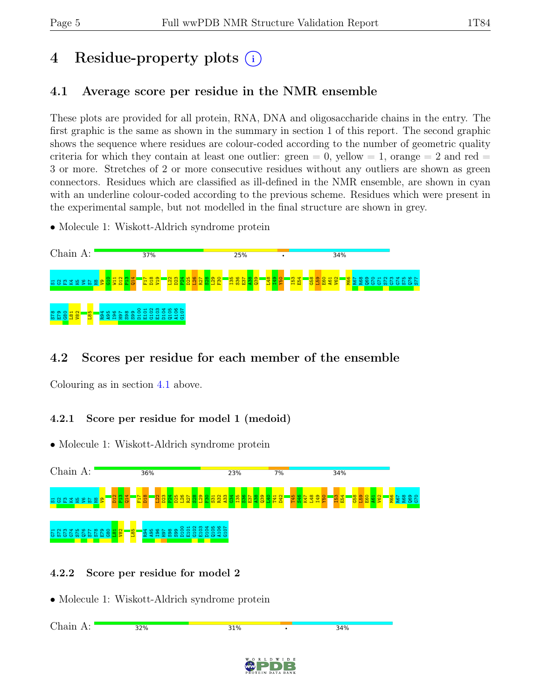# 4 Residue-property plots (i)

## <span id="page-4-0"></span>4.1 Average score per residue in the NMR ensemble

These plots are provided for all protein, RNA, DNA and oligosaccharide chains in the entry. The first graphic is the same as shown in the summary in section 1 of this report. The second graphic shows the sequence where residues are colour-coded according to the number of geometric quality criteria for which they contain at least one outlier:  $green = 0$ ,  $yellow = 1$ ,  $orange = 2$  and  $red =$ 3 or more. Stretches of 2 or more consecutive residues without any outliers are shown as green connectors. Residues which are classified as ill-defined in the NMR ensemble, are shown in cyan with an underline colour-coded according to the previous scheme. Residues which were present in the experimental sample, but not modelled in the final structure are shown in grey.

• Molecule 1: Wiskott-Aldrich syndrome protein



## 4.2 Scores per residue for each member of the ensemble

Colouring as in section [4.1](#page-4-0) above.

#### 4.2.1 Score per residue for model 1 (medoid)

• Molecule 1: Wiskott-Aldrich syndrome protein



#### 4.2.2 Score per residue for model 2

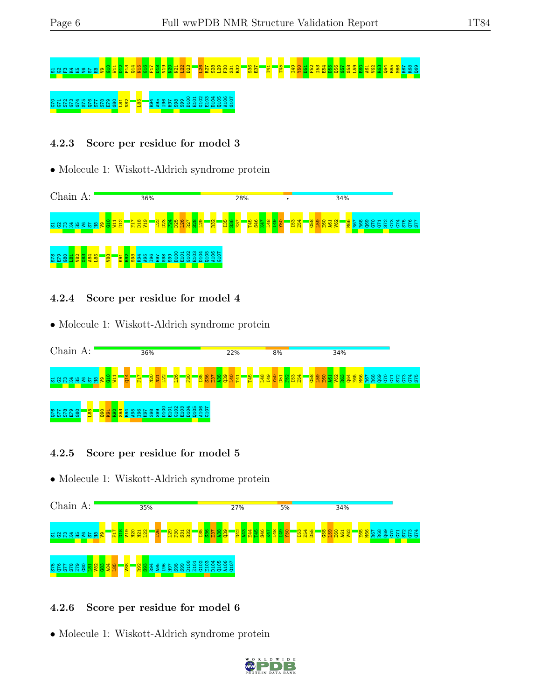# S1G2F3K4H5V6S7H8V9G10 W11 D12 P13 Q14 N15 G16 F17 D18 V19 N20 N21 L22 D23 L26 R27 S28 L29 F30 S31 R32 S36 E37 T41 T45 I49 Y50 D51 F52 I53 E54 D55 Q56 G57 G58 L59 E60 A61 V62 R63 Q64 E65 M66 R67 R68 Q69 G70 G70 G70 G70 G70 G<mark>78 G79 C7</mark><br>G70 G70 G70 G70 G80 G80 C80 C10 G100 E10 G107 G10

#### 4.2.3 Score per residue for model 3

#### • Molecule 1: Wiskott-Aldrich syndrome protein



#### 4.2.4 Score per residue for model 4

• Molecule 1: Wiskott-Aldrich syndrome protein



#### 4.2.5 Score per residue for model 5

• Molecule 1: Wiskott-Aldrich syndrome protein



#### 4.2.6 Score per residue for model 6

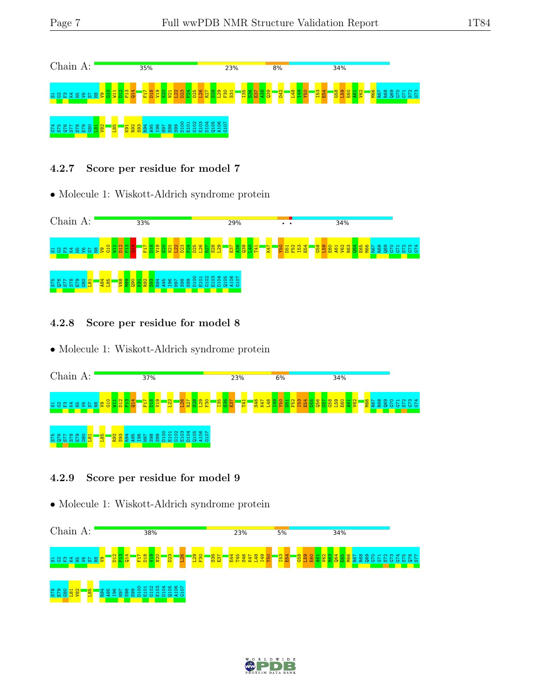

#### 4.2.7 Score per residue for model 7

• Molecule 1: Wiskott-Aldrich syndrome protein



4.2.8 Score per residue for model 8

• Molecule 1: Wiskott-Aldrich syndrome protein



#### 4.2.9 Score per residue for model 9



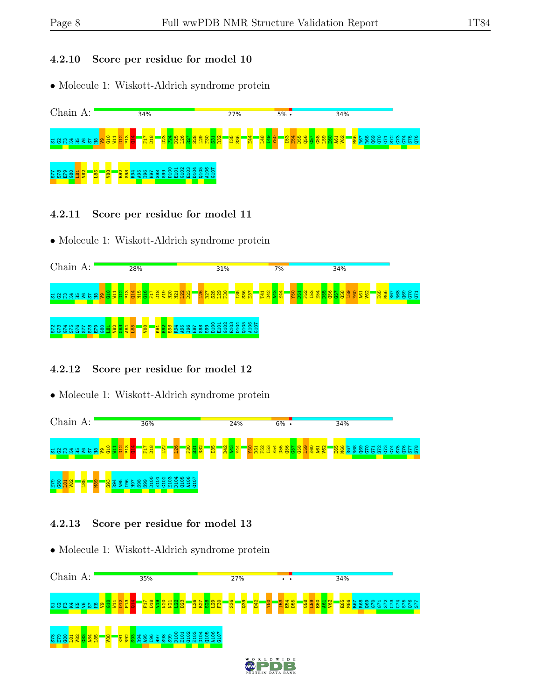#### 4.2.10 Score per residue for model 10

• Molecule 1: Wiskott-Aldrich syndrome protein



- 4.2.11 Score per residue for model 11
- Molecule 1: Wiskott-Aldrich syndrome protein



#### 4.2.12 Score per residue for model 12

• Molecule 1: Wiskott-Aldrich syndrome protein



#### 4.2.13 Score per residue for model 13

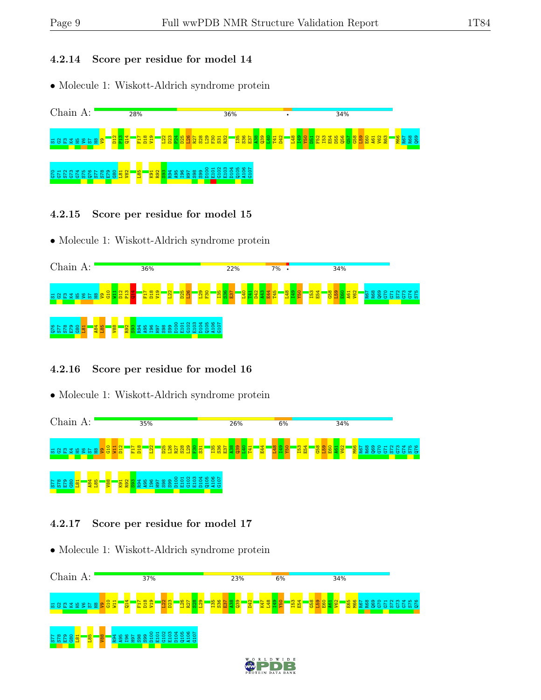#### 4.2.14 Score per residue for model 14

• Molecule 1: Wiskott-Aldrich syndrome protein



- 4.2.15 Score per residue for model 15
- Molecule 1: Wiskott-Aldrich syndrome protein



#### 4.2.16 Score per residue for model 16

• Molecule 1: Wiskott-Aldrich syndrome protein



#### 4.2.17 Score per residue for model 17

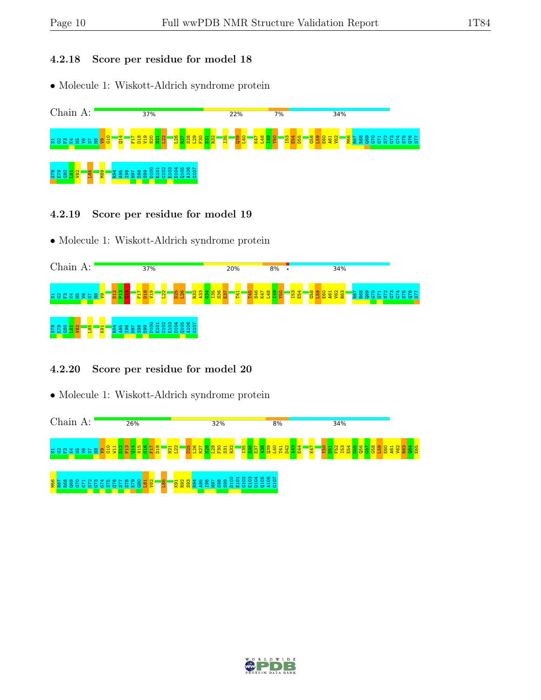#### 4.2.18 Score per residue for model 18

• Molecule 1: Wiskott-Aldrich syndrome protein



- 4.2.19 Score per residue for model 19
- Molecule 1: Wiskott-Aldrich syndrome protein



#### 4.2.20 Score per residue for model 20



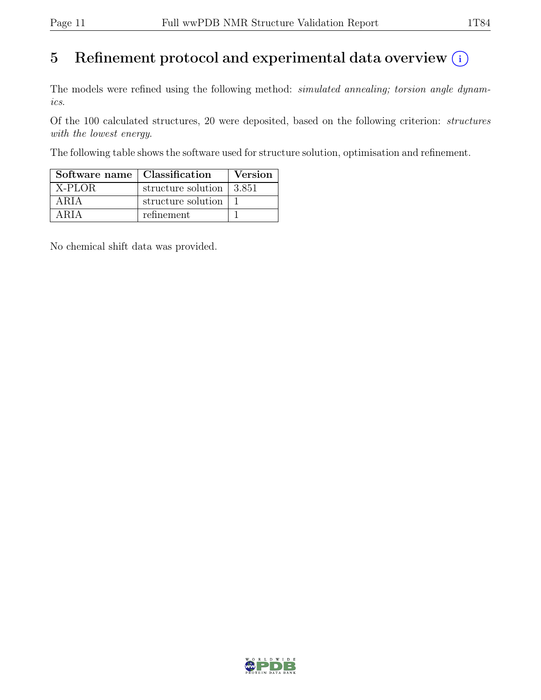# 5 Refinement protocol and experimental data overview  $\odot$

The models were refined using the following method: *simulated annealing*; torsion angle dynamics.

Of the 100 calculated structures, 20 were deposited, based on the following criterion: structures with the lowest energy.

The following table shows the software used for structure solution, optimisation and refinement.

| Software name   Classification |                                          | <b>Version</b> |
|--------------------------------|------------------------------------------|----------------|
| X-PLOR                         | structure solution $\vert 3.851 \rangle$ |                |
| ARIA                           | structure solution                       |                |
| ARIA                           | refinement                               |                |

No chemical shift data was provided.

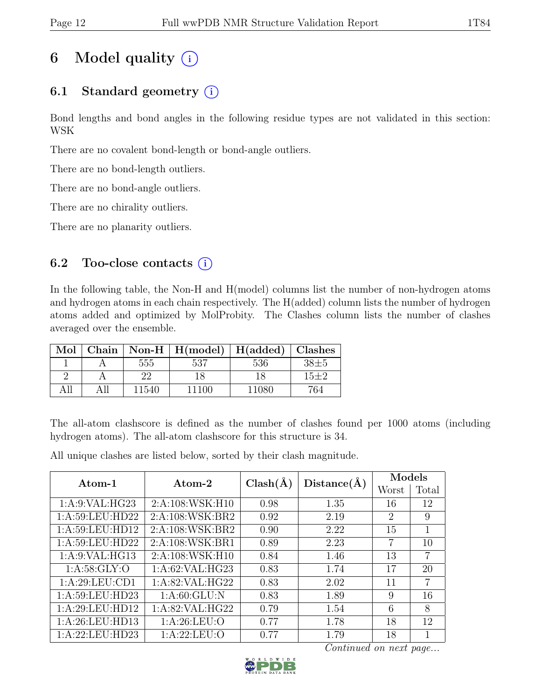# 6 Model quality  $(i)$

## 6.1 Standard geometry  $(i)$

Bond lengths and bond angles in the following residue types are not validated in this section: WSK

There are no covalent bond-length or bond-angle outliers.

There are no bond-length outliers.

There are no bond-angle outliers.

There are no chirality outliers.

There are no planarity outliers.

### 6.2 Too-close contacts  $(i)$

In the following table, the Non-H and H(model) columns list the number of non-hydrogen atoms and hydrogen atoms in each chain respectively. The H(added) column lists the number of hydrogen atoms added and optimized by MolProbity. The Clashes column lists the number of clashes averaged over the ensemble.

| Mol  |       | Chain   Non-H   $H(model)$   $H(added)$   Clashes |       |          |
|------|-------|---------------------------------------------------|-------|----------|
|      | 555   | 537                                               | 536   | $38 + 5$ |
|      | າາ    |                                                   |       | $15 + 2$ |
| A 11 | 11540 | 11100                                             | 11080 | 764      |

The all-atom clashscore is defined as the number of clashes found per 1000 atoms (including hydrogen atoms). The all-atom clashscore for this structure is 34.

All unique clashes are listed below, sorted by their clash magnitude.

| Atom-1            | Atom-2             | $Clash(\AA)$ | Distance(A) | Models         |       |  |
|-------------------|--------------------|--------------|-------------|----------------|-------|--|
|                   |                    |              |             | Worst          | Total |  |
| 1: A:9: VAL: HG23 | 2:A:108:WSK:H10    | 0.98         | 1.35        | 16             | 12    |  |
| 1:A:59:LEU:HD22   | 2:A:108:WSK:BR2    | 0.92         | 2.19        | $\overline{2}$ | 9     |  |
| 1:A:59:LEU:HD12   | 2:A:108:WSK:BR2    | 0.90         | 2.22        | 15             | 1     |  |
| 1:A:59:LEU:HD22   | 2:A:108:WSK:BR1    | 0.89         | 2.23        | 7              | 10    |  |
| 1: A:9: VAL: HG13 | 2:A:108:WSK:H10    | 0.84         | 1.46        | 13             | 7     |  |
| 1: A:58: GLY:O    | 1:A:62:VAL:HG23    | 0.83         | 1.74        | 17             | 20    |  |
| 1: A:29: LEU: CD1 | 1: A:82: VAL: HG22 | 0.83         | 2.02        | 11             | 7     |  |
| 1:A:59:LEU:HD23   | 1: A:60: GLU: N    | 0.83         | 1.89        | 9              | 16    |  |
| 1:A:29:LEU:HD12   | 1:A:82:VAL:HG22    | 0.79         | 1.54        | 6              | 8     |  |
| 1: A:26:LEU:HD13  | 1: A:26:LEU:O      | 0.77         | 1.78        | 18             | 12    |  |
| 1:A:22:LEU:HD23   | 1: A:22:LEU:O      | 0.77         | 1.79        | 18             |       |  |

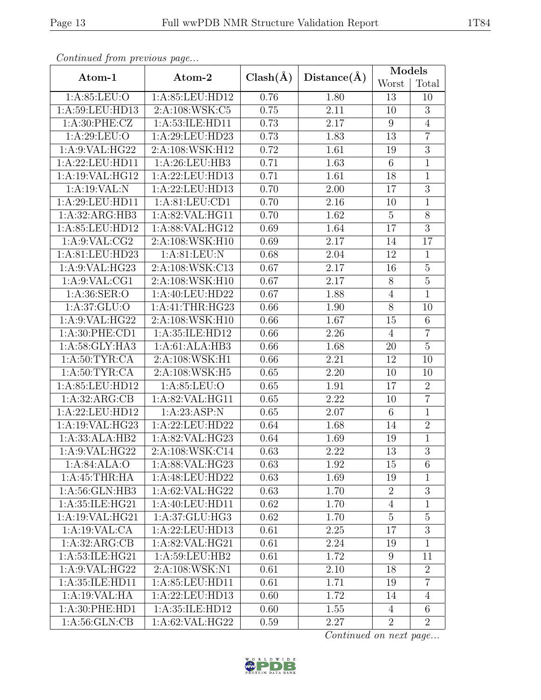| Continuation protions page |                                 |              |                   | Models          |                 |  |
|----------------------------|---------------------------------|--------------|-------------------|-----------------|-----------------|--|
| Atom-1                     | Atom-2                          | $Clash(\AA)$ | Distance(A)       | Worst           | Total           |  |
| 1: A:85: LEU:O             | 1:A:85:LEU:HD12                 | 0.76<br>1.80 |                   | 13              | 10              |  |
| 1:A:59:LEU:HD13            | 2:A:108:WSK:C5                  | 0.75         | 2.11              | 10              | $\overline{3}$  |  |
| 1: A:30: PHE: CZ           | 1:A:53:ILE:HD11                 | 0.73         | 2.17              | $9\phantom{.0}$ | $\overline{4}$  |  |
| 1: A:29: LEU:O             | 1:A:29:LEU:HD23                 | 0.73         | 1.83              | 13              | $\overline{7}$  |  |
| 1: A:9: VAL: HG22          | 2:A:108:WSK:H12                 | 0.72         | 1.61              | 19              | $\overline{3}$  |  |
| 1:A:22:LEU:HD11            | 1:A:26:LEU:HB3                  | 0.71         | $\overline{1.63}$ | $\,6\,$         | $\overline{1}$  |  |
| 1:A:19:VAL:HG12            | 1:A:22:LEU:HD13                 | 0.71         | 1.61              | 18              | $\overline{1}$  |  |
| 1:A:19:VAL:N               | 1:A:22:LEU:HD13                 | 0.70         | 2.00              | 17              | $\overline{3}$  |  |
| 1:A:29:LEU:HD11            | 1:A:81:LEU:CD1                  | 0.70         | $2.16\,$          | 10              | $\overline{1}$  |  |
| 1:A:32:ARG:HB3             | 1:A:82:VAL:HG11                 | 0.70         | 1.62              | $\mathbf 5$     | 8               |  |
| 1:A:85:LEU:HD12            | 1:A:88:VAL:HG12                 | 0.69         | 1.64              | 17              | $\overline{3}$  |  |
| 1: A:9: VAL: CG2           | 2:A:108:WSK:H10                 | 0.69         | 2.17              | 14              | 17              |  |
| 1:A:81:LEU:HD23            | 1: A:81: LEU: N                 | 0.68         | 2.04              | 12              | $\mathbf{1}$    |  |
| 1: A:9: VAL: HG23          | 2:A:108:WSK:C13                 | 0.67         | 2.17              | 16              | $\overline{5}$  |  |
| 1:A:9:VAL:CG1              | 2:A:108:WSK:H10                 | 0.67         | 2.17              | 8               | $\overline{5}$  |  |
| 1: A:36: SER:O             | 1:A:40:LEU:HD22<br>1.88<br>0.67 |              |                   | $\sqrt{4}$      | $\overline{1}$  |  |
| 1: A:37: GLU:O             | 1:A:41:THR:HG23                 |              | 1.90              | $8\,$           | 10              |  |
| 1:A:9:VAL:HG22             | 2:A:108:WSK:H10                 |              | 1.67              | 15              | $\overline{6}$  |  |
| 1:A:30:PHE:CD1             | 1:A:35:ILE:HD12                 |              | 2.26              | $\overline{4}$  | $\overline{7}$  |  |
| 1:A:58:GLY:HA3             | 1:A:61:ALA:HB3                  | 0.66         | 1.68              | 20              | $\overline{5}$  |  |
| 1: A:50: TYR:CA            | 2:A:108:WSK:H1                  | 0.66         | 2.21              | 12              | 10              |  |
| 1: A:50: TYR: CA           | 2:A:108:WSK:H5                  | 0.65         | 2.20              | 10              | 10              |  |
| 1:A:85:LEU:HD12            | 1:A:85:LEU:O                    | 0.65         | 1.91              | 17              | $\overline{2}$  |  |
| 1:A:32:ARG:CB              | 1:A:82:VAL:HG11                 | 0.65         | 2.22              | 10              | $\overline{7}$  |  |
| 1:A:22:LEU:HD12            | 1:A:23:ASP:N                    | 0.65         | 2.07              | $\,6$           | $\mathbf{1}$    |  |
| 1: A:19: VAL:HG23          | 1:A:22:LEU:HD22                 | 0.64         | 1.68              | 14              | $\overline{2}$  |  |
| 1:A:33:ALA:HB2             | 1:A:82:VAL:HG23                 | 0.64         | 1.69              | 19              | $\mathbf{1}$    |  |
| 1: A:9: VAL: HG22          | 2:A:108:WSK:Cl <sub>4</sub>     | 0.63         | 2.22              | $\overline{13}$ | $\overline{3}$  |  |
| 1: A:84: ALA:O             | 1:A:88:VAL:HG23                 | 0.63         | 1.92              | 15              | 6               |  |
| 1:A:45:THR:HA              | 1:A:48:LEU:HD22                 | 0.63         | 1.69              | 19              | $\mathbf{1}$    |  |
| 1:A:56:GLN:HB3             | 1:A:62:VAL:HG22                 | 0.63         | 1.70              | $\overline{2}$  | $\overline{3}$  |  |
| 1:A:35:ILE:HG21            | 1: A:40: LEU:HD11               | 0.62         | 1.70              | $\overline{4}$  | $\mathbf{1}$    |  |
| 1:A:19:VAL:HG21            | 1:A:37:GLU:HG3                  | 0.62         | 1.70              | $\overline{5}$  | $\overline{5}$  |  |
| 1:A:19:VAL:CA              | 1:A:22:LEU:HD13                 | 0.61         | 2.25              | 17              | $\overline{3}$  |  |
| 1:A:32:ARG:CB              | 1: A:82: VAL:HG21               | 0.61         | 2.24              | 19              | $\mathbf{1}$    |  |
| 1:A:53:ILE:HG21            | 1:A:59:LEU:HB2                  | 0.61         | 1.72              | 9               | 11              |  |
| 1:A:9:VAL:HG22             | 2:A:108:WSK:N1                  | 0.61         | 2.10              | 18              | $\overline{2}$  |  |
| 1:A:35:ILE:HD11            | 1:A:85:LEU:HD11                 | 0.61         | 1.71              | 19              | $\overline{7}$  |  |
| 1:A:19:VAL:HA              | 1:A:22:LEU:HD13                 | 0.60         | 1.72              | 14              | $\overline{4}$  |  |
| 1:A:30:PHE:HD1             | 1:A:35:ILE:HD12                 | 0.60         | 1.55              | 4               | $6\phantom{.}6$ |  |
| 1: A:56: GLN:CB            | 1:A:62:VAL:HG22                 | 0.59         | 2.27              | $\overline{2}$  | $\overline{2}$  |  |

Continued from previous page.

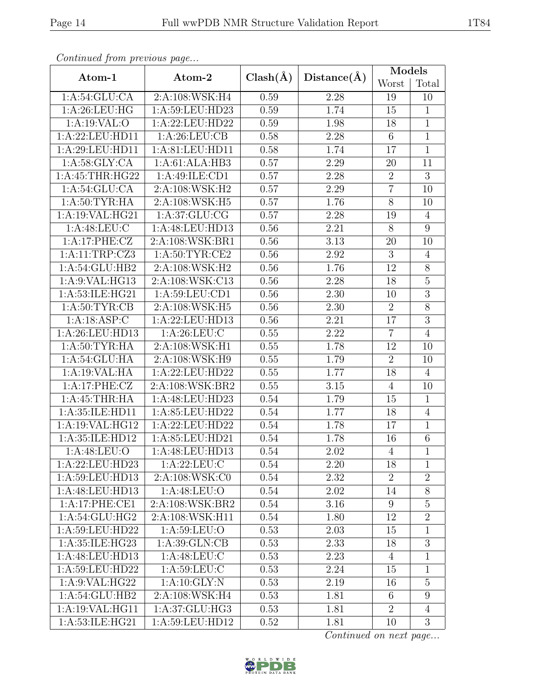| $\sim$ onttinuo $\alpha$ from protio $\omega$ o pago |                              |              |             | Models          |                |
|------------------------------------------------------|------------------------------|--------------|-------------|-----------------|----------------|
| Atom-1                                               | Atom-2                       | $Clash(\AA)$ | Distance(A) | Worst           | Total          |
| 1: A:54: GLU:CA                                      | 2:A:108:WSK:H4               | 0.59         | 2.28        | 19              | 10             |
| 1: A:26:LEU:HG                                       | 1:A:59:LEU:HD23              | 0.59         | 1.74        | $15\,$          | $\mathbf{1}$   |
| 1:A:19:VAL:O                                         | 1:A:22:LEU:HD22              | 0.59         | 1.98        | 18              | $\mathbf{1}$   |
| 1:A:22:LEU:HD11                                      | 1: A:26:LEU:CB               | 0.58         | 2.28        | $\,6\,$         | $\overline{1}$ |
| 1:A:29:LEU:HD11                                      | 1:A:81:LEU:HD11              | 0.58         | 1.74        | 17              | $\overline{1}$ |
| 1: A:58: GLY:CA                                      | 1:A:61:ALA:HB3               | 0.57         | 2.29        | $20\,$          | 11             |
| 1: A: 45: THR: HG22                                  | 1: A:49: ILE: CD1            | 0.57         | 2.28        | $\overline{2}$  | $\overline{3}$ |
| 1: A:54: GLU:CA                                      | 2:A:108:WSK:H2               | 0.57         | 2.29        | $\overline{7}$  | 10             |
| 1: A:50: TYR: HA                                     | 2:A:108:WSK:H5               | 0.57         | 1.76        | $\overline{8}$  | 10             |
| 1: A:19: VAL: HG21                                   | 1: A:37: GLU: CG             | 0.57         | 2.28        | 19              | $\overline{4}$ |
| 1:A:48:LEU:C                                         | 1:A:48:LEU:HD13              | 0.56         | 2.21        | $\overline{8}$  | $\overline{9}$ |
| 1:A:17:PHE:CZ                                        | 2:A:108:WSK:BR1              | 0.56         | 3.13        | $20\,$          | 10             |
| 1:A:11:TRP:CZ3                                       | 1: A:50: TYR: CE2            | 0.56         | 2.92        | $\overline{3}$  | $\overline{4}$ |
| $1:A:54:GLU:\overline{HB2}$                          | 2:A:108:WSK:H2               | 0.56         | 1.76        | 12              | $\overline{8}$ |
| 1:A:9:VAL:HG13                                       | 2:A:108:WSK:C13              | 0.56         | 2.28        | 18              | $\overline{5}$ |
| 1:A:53:ILE:HG21                                      | 1:A:59:LEU:CD1               | 0.56         | 2.30        | 10              | $\overline{3}$ |
| 1: A:50: TYR:CB                                      | 2:A:108:WSK:H5               |              | 2.30        | $\overline{2}$  | 8              |
| 1:A:18:ASP:C                                         | 1:A:22:LEU:HD13              |              | 2.21        | 17              | $\overline{3}$ |
| 1:A:26:LEU:HD13                                      | 1:A:26:LEU:C                 |              | 2.22        | $\overline{7}$  | $\overline{4}$ |
| 1: A:50: TYR: HA                                     | 2:A:108:WSK:H1               | 0.55         | 1.78        | 12              | 10             |
| 1:A:54:GLU:HA                                        | 2:A:108:WSK:H9               | 0.55         | 1.79        | $\overline{2}$  | 10             |
| 1:A:19:VAL:HA                                        | 1:A:22:LEU:HD22              | 0.55         | 1.77        | 18              | $\overline{4}$ |
| 1:A:17:PHE:CZ                                        | 2:A:108:WSK:BR2              | 0.55         | $3.15\,$    | $\overline{4}$  | 10             |
| 1:A:45:THR:HA                                        | 1:A:48:LEU:HD23              | 0.54         | 1.79        | 15              | $\mathbf{1}$   |
| 1:A:35:ILE:HD11                                      | 1:A:85:LEU:HD22              | 0.54         | 1.77        | 18              | $\sqrt{4}$     |
| 1:A:19:VAL:HG12                                      | 1:A:22:LEU:HD22              | 0.54         | 1.78        | 17              | $\overline{1}$ |
| 1:A:35:ILE:HD12                                      | 1: A:85: LEU:HD21            | 0.54         | 1.78        | 16              | $\,6$          |
| 1:A:48:LEU:O                                         | 1:A:48:LEU:HD13              | 0.54         | 2.02        | $\overline{4}$  | $\overline{1}$ |
| 1:A:22:LEU:HD23                                      | 1: A:22:LEU:C                | $0.54\,$     | 2.20        | 18              | 1              |
| 1:A:59:LEU:HD13                                      | 2:A:108:WSK:C0               | 0.54         | 2.32        | $\overline{2}$  | $\overline{2}$ |
| 1:A:48:LEU:HD13                                      | 1: A:48: LEU:O               | 0.54         | 2.02        | 14              | 8              |
| 1:A:17:PHE:CE1                                       | 2:A:108:WSK:BR2              | 0.54         | 3.16        | 9               | $\overline{5}$ |
| $1:A:54:G\overline{\mathrm{LU:HG2}}$                 | $2:A:108:WS\overline{K:H11}$ | 0.54         | 1.80        | 12              | $\overline{2}$ |
| 1:A:59:LEU:HD22                                      | 1:A:59:LEU:O                 | 0.53         | 2.03        | 15              | $\mathbf{1}$   |
| 1:A:35:ILE:HG23                                      | 1: A:39: GLN:CB              | 0.53         | 2.33        | 18              | $\overline{3}$ |
| 1:A:48:LEU:HD13                                      | 1: A:48: LEU: C              | 0.53         | 2.23        | $\overline{4}$  | $\mathbf{1}$   |
| 1: A:59: LEU: HD22                                   | 1: A:59: LEU: C              | 0.53         | 2.24        | 15              | 1              |
| 1:A:9:VAL:HG22                                       | 1:A:10:GLY:N                 | 0.53         | 2.19        | 16              | $\overline{5}$ |
| 1:A:54:GLU:HB2                                       | 2: A:108: WSK: H4            | 0.53         | 1.81        | $6\phantom{.}6$ | 9              |
| 1: A:19: VAL: HG11                                   | 1:A:37:GLU:HG3               | 0.53         | 1.81        | $\overline{2}$  | $\overline{4}$ |
| 1:A:53:ILE:HG21                                      | 1:A:59:LEU:HD12              | 0.52         | 1.81        | 10              | $\overline{3}$ |

Continued from previous page.

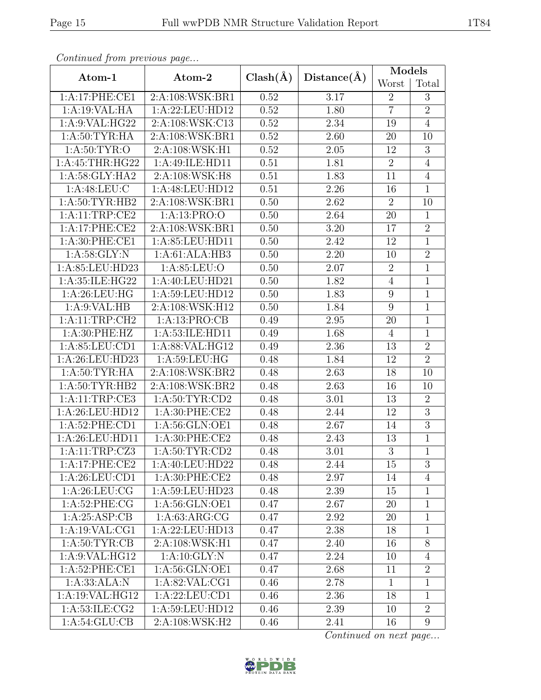| noonowed jie <i>ne pleete we page</i> |                   |              |             | Models           |                  |
|---------------------------------------|-------------------|--------------|-------------|------------------|------------------|
| Atom-1                                | Atom-2            | $Clash(\AA)$ | Distance(A) | Worst            | Total            |
| 1:A:17:PHE:CE1                        | 2:A:108:WSK:BR1   | 0.52<br>3.17 |             | $\overline{2}$   | $\overline{3}$   |
| 1:A:19:VAL:HA                         | 1:A:22:LEU:HD12   | 0.52         | 1.80        | $\overline{7}$   | $\overline{2}$   |
| $1: A:9: VAL: \overline{HG22}$        | 2:A:108:WSK:C13   | 0.52         | 2.34        | 19               | $\overline{4}$   |
| 1: A:50: TYR: HA                      | 2:A:108:WSK:BR1   | 0.52         | 2.60        | $20\,$           | 10               |
| 1: A:50: TYR:O                        | 2:A:108:WSK:H1    | 0.52         | 2.05        | 12               | $\overline{3}$   |
| 1:A:45:THR:HG22                       | 1:A:49:ILE:HD11   | 0.51         | 1.81        | $\overline{2}$   | $\overline{4}$   |
| 1:A:58:GLY:HA2                        | 2:A:108:WSK:H8    | 0.51         | 1.83        | 11               | $\overline{4}$   |
| 1: A:48:LEU:C                         | 1:A:48:LEU:HD12   | 0.51         | 2.26        | 16               | $\overline{1}$   |
| 1: A:50: TYR: HB2                     | 2:A:108:WSK:BR1   | 0.50         | 2.62        | $\overline{2}$   | 10               |
| 1:A:11:TRP:CE2                        | 1:A:13:PRO:O      | 0.50         | 2.64        | 20               | $\mathbf{1}$     |
| 1:A:17:PHE:CE2                        | 2:A:108:WSK:BR1   | 0.50         | $3.20\,$    | 17               | $\overline{2}$   |
| 1: A:30: PHE:CE1                      | 1:A:85:LEU:HD11   | 0.50         | 2.42        | 12               | $\mathbf{1}$     |
| 1: A:58: GLY:N                        | 1:A:61:ALA:HB3    | 0.50         | 2.20        | 10               | $\sqrt{2}$       |
| 1:A:85:LEU:HD23                       | 1: A:85: LEU:O    | 0.50         | 2.07        | $\overline{2}$   | $\overline{1}$   |
| 1:A:35:ILE:HG22                       | 1:A:40:LEU:HD21   | 0.50         | 1.82        | $\overline{4}$   | $\,1$            |
| 1: A:26:LEU:HG                        | 1:A:59:LEU:HD12   | 0.50         | 1.83        | $\boldsymbol{9}$ | $\overline{1}$   |
| 1: A:9: VAL: HB                       | 2:A:108:WSK:H12   |              | 1.84        | 9                | $\,1$            |
| 1:A:11:TRP:CH2                        | 1:A:13:PRO:CB     |              | 2.95        | 20               | $\overline{1}$   |
| 1: A:30: PHE: HZ                      | 1:A:53:ILE:HD11   |              | 1.68        | $\overline{4}$   | $\overline{1}$   |
| 1:A:85:LEU:CD1                        | 1:A:88:VAL:HG12   | 0.49         | 2.36        | $13\,$           | $\overline{2}$   |
| 1:A:26:LEU:HD23                       | 1: A:59: LEU: HG  | 0.48         | 1.84        | 12               | $\overline{2}$   |
| 1: A:50: TYR: HA                      | 2:A:108:WSK:BR2   | 0.48         | 2.63        | $18\,$           | 10               |
| $1:A:\overline{50:TYR:HB2}$           | 2:A:108:WSK:BR2   | 0.48         | 2.63        | 16               | 10               |
| 1:A:11:TRP:CE3                        | 1: A:50: TYR:CD2  | 0.48         | 3.01        | 13               | $\overline{2}$   |
| 1:A:26:LEU:HD12                       | 1: A:30: PHE:CE2  | 0.48         | 2.44        | 12               | $\overline{3}$   |
| 1: A:52: PHE:CD1                      | 1:A:56:GLN:OE1    | 0.48         | 2.67        | 14               | $\overline{3}$   |
| 1:A:26:LEU:HD11                       | 1: A:30: PHE:CE2  | 0.48         | 2.43        | 13               | $\mathbf{1}$     |
| 1:A:11:TRP:CZ3                        | 1: A:50: TYR:CD2  | 0.48         | 3.01        | 3                | $\overline{1}$   |
| 1:A:17:PHE:CE2                        | 1: A:40: LEU:HD22 | 0.48         | 2.44        | 15               | 3                |
| 1:A:26:LEU:CD1                        | 1:A:30:PHE:CE2    | 0.48         | 2.97        | 14               | $\overline{4}$   |
| 1: A:26:LEU:CG                        | 1:A:59:LEU:HD23   | 0.48         | 2.39        | 15               | $\mathbf{1}$     |
| 1: A:52:PHE:CG                        | 1:A:56:GLN:OE1    | 0.47         | 2.67        | 20               | $\mathbf{1}$     |
| 1: A:25: ASP:CB                       | 1: A:63: ARG: CG  | 0.47         | 2.92        | 20               | $\mathbf{1}$     |
| 1:A:19:VAL:CG1                        | 1:A:22:LEU:HD13   | 0.47         | 2.38        | 18               | $\mathbf{1}$     |
| 1: A:50: TYR:CB                       | 2:A:108:WSK:H1    | 0.47         | 2.40        | 16               | $\overline{8}$   |
| 1: A:9: VAL: HG12                     | 1:A:10:GLY:N      | 0.47         | 2.24        | 10               | $\overline{4}$   |
| 1:A:52:PHE:CE1                        | 1:A:56:GLN:OE1    | 0.47         | 2.68        | 11               | $\overline{2}$   |
| 1:A:33:ALA:N                          | 1:A:82:VAL:CG1    | 0.46         | 2.78        | $\mathbf{1}$     | $\mathbf{1}$     |
| 1:A:19:VAL:HG12                       | 1:A:22:LEU:CD1    | 0.46         | 2.36        | 18               | $\mathbf{1}$     |
| 1:A:53:ILE:CG2                        | 1:A:59:LEU:HD12   | 0.46         | 2.39        | 10               | $\sqrt{2}$       |
| 1: A:54: GLU:CB                       | 2:A:108:WSK:H2    | 0.46         | 2.41        | 16               | $\boldsymbol{9}$ |

Continued from previous page...

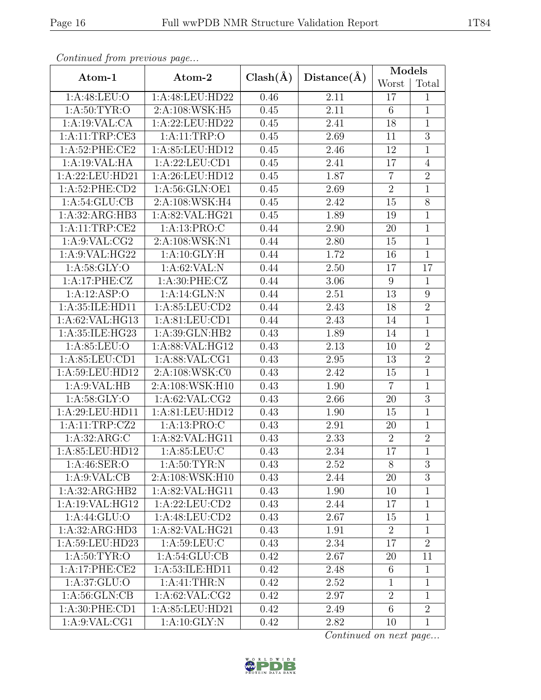| $\sim$ onttinuo $\alpha$ from protio $\omega$ o pago |                           |              |             | Models           |                |
|------------------------------------------------------|---------------------------|--------------|-------------|------------------|----------------|
| Atom-1                                               | Atom-2                    | $Clash(\AA)$ | Distance(A) | Worst            | Total          |
| 1: A:48: LEU:O                                       | 1:A:48:LEU:HD22           | 0.46         | 2.11        | 17               | $\mathbf{1}$   |
| 1: A:50: TYR:O                                       | 2:A:108:WSK:H5            | 0.45         | 2.11        | 6                | $\mathbf{1}$   |
| 1:A:19:VAL:CA                                        | 1:A:22:LEU:HD22           | 0.45         | 2.41        | 18               | $\overline{1}$ |
| 1:A:11:TRP:CE3                                       | 1: A:11:TRP:O             | 0.45         | 2.69        | 11               | $\overline{3}$ |
| 1:A:52:PHE:CE2                                       | 1:A:85:LEU:HD12           | 0.45         | 2.46        | $12\,$           | $\mathbf{1}$   |
| 1:A:19:VAL:HA                                        | 1:A:22:LEU:CD1            | 0.45         | 2.41        | 17               | $\overline{4}$ |
| 1:A:22:LEU:HD21                                      | 1:A:26:LEU:HD12           | 0.45         | 1.87        | $\overline{7}$   | $\overline{2}$ |
| 1: A:52: PHE:CD2                                     | 1:A:56:GLN:OE1            | 0.45         | 2.69        | $\overline{2}$   | $\overline{1}$ |
| 1: A:54: GLU:CB                                      | 2:A:108:WSK:H4            | 0.45         | 2.42        | 15               | $\overline{8}$ |
| 1:A:32:ARG:HB3                                       | 1:A:82:VAL:HG21           | 0.45         | 1.89        | 19               | $\mathbf 1$    |
| 1:A:11:TRP:CE2                                       | 1:A:13:PRO:C              | 0.44         | 2.90        | 20               | $\overline{1}$ |
| 1: A:9: VAL: CG2                                     | 2:A:108:WSK:N1            | 0.44         | 2.80        | 15               | $\mathbf{1}$   |
| 1: A:9: VAL: HG22                                    | 1:A:10:GLY:H              | 0.44         | 1.72        | 16               | $\overline{1}$ |
| 1: A:58: GLY:O                                       | 1: A:62:VAL: N            | 0.44         | 2.50        | 17               | 17             |
| 1:A:17:PHE:CZ                                        | 1:A:30:PHE:CZ             | 0.44         | 3.06        | $9\phantom{.0}$  | $\mathbf{1}$   |
| 1:A:12:ASP:O                                         | 1:A:14:GLN:N              |              | 2.51        | 13               | $\overline{9}$ |
| 1:A:35:ILE:HD11                                      | 1: A:85: LEU:CD2          | 0.44         | 2.43        | 18               | $\overline{2}$ |
| 1:A:62:VAL:HG13                                      | 1:A:81:LEU:CD1            | 0.44         | 2.43        | 14               | $\overline{1}$ |
| 1:A:35:ILE:HG23                                      | 1:A:39:GLN:HB2            | 0.43         | 1.89        | 14               | $\mathbf{1}$   |
| 1: A:85:LEU:O                                        | 1:A:88:VAL:HG12           | 0.43         | 2.13        | 10               | $\overline{2}$ |
| 1:A:85:LEU:CD1                                       | 1:A:88:VAL:CG1            | 0.43         | 2.95        | 13               | $\overline{2}$ |
| 1:A:59:LEU:HD12                                      | 2:A:108:WSK:C0            | 0.43         | 2.42        | 15               | $\overline{1}$ |
| 1: A:9: VAL: HB                                      | 2:A:108:WSK:H10           | 0.43         | 1.90        | $\overline{7}$   | $\overline{1}$ |
| 1: A:58: GLY:O                                       | 1: A:62: VAL:CG2          | 0.43         | 2.66        | 20               | $\overline{3}$ |
| 1:A:29:LEU:HD11                                      | 1:A:81:LEU:HD12           | 0.43         | 1.90        | 15               | $\mathbf{1}$   |
| 1:A:11:TRP:CZ2                                       | 1:A:13:PRO:C              | 0.43         | 2.91        | 20               | $\mathbf{1}$   |
| 1:A:32:ARG:C                                         | 1:A:82:VAL:HG11           | 0.43         | 2.33        | $\overline{2}$   | $\overline{2}$ |
| 1:A:85:LEU:HD12                                      | 1: A:85:LEU:C             | 0.43         | 2.34        | 17               | $\overline{1}$ |
| 1: A:46: SER:O                                       | 1: A:50: TYR: N           | 0.43         | 2.52        | 8                | 3              |
| 1: A:9: VAL:CB                                       | 2:A:108:WSK:H10           | 0.43         | 2.44        | 20               | 3              |
| 1:A:32:ARG:HB2                                       | 1: A:82: VAL: HG11        | 0.43         | 1.90        | 10               | $\mathbf{1}$   |
| 1:A:19:VAL:HG12                                      | 1:A:22:LEU:CD2            | 0.43         | 2.44        | 17               | $\mathbf{1}$   |
| 1:A:44:GLU:O                                         | 1:A:48:LEU:CD2            | 0.43         | 2.67        | 15               | $\mathbf{1}$   |
| 1:A:32:ARG:HD3                                       | 1:A:82:VAL:HG21           | 0.43         | 1.91        | $\overline{2}$   | $\mathbf{1}$   |
| 1:A:59:LEU:HD23                                      | 1:A:59:LEU:C              | 0.43         | 2.34        | 17               | $\overline{2}$ |
| 1: A:50: TYR:O                                       | 1: A:54: GLU:CB           | 0.42         | 2.67        | 20               | 11             |
| 1:A:17:PHE:CE2                                       | 1:A:53:ILE:HD11           | 0.42         | 2.48        | $6\phantom{.}6$  | $\mathbf{1}$   |
| 1: A:37: GLU:O                                       | 1: A:41:THR:N             | 0.42         | 2.52        | $\mathbf{1}$     | $\mathbf{1}$   |
| 1: A:56: GLN:CB                                      | 1: A:62: VAL:CG2          | 0.42         | 2.97        | $\boldsymbol{2}$ | $\mathbf{1}$   |
| 1:A:30:PHE:CD1                                       | 1:A:85:LEU:HD21           | 0.42         | 2.49        | 6                | $\overline{2}$ |
| 1: A:9: VAL:CG1                                      | $1:A:10:\overline{GLY:N}$ | 0.42         | 2.82        | 10               | $\mathbf{1}$   |

Continued from previous page.

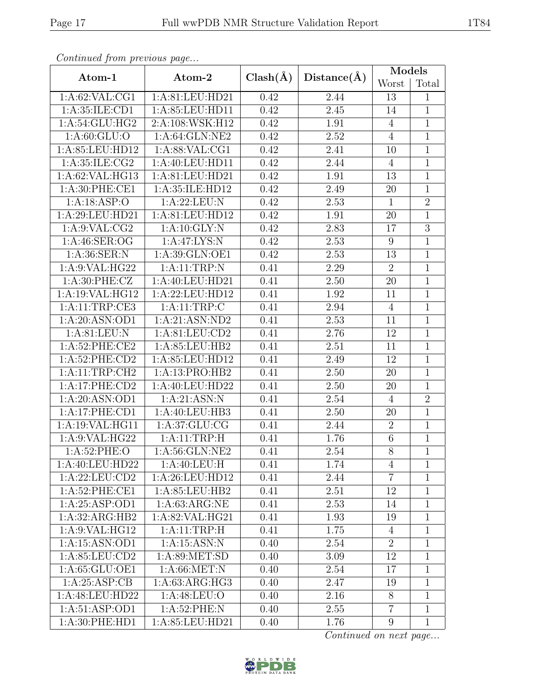| $P$ . The contractor of $P$ is contracted by $P$ and $P$ . The contract of $P$ |                              |              |                   | Models           |                |  |
|--------------------------------------------------------------------------------|------------------------------|--------------|-------------------|------------------|----------------|--|
| Atom-1                                                                         | Atom-2                       | $Clash(\AA)$ | Distance(A)       | Worst            | Total          |  |
| 1: A:62: VAL:CG1                                                               | 1:A:81:LEU:HD21              | 0.42         | 2.44              | 13               | $\mathbf{1}$   |  |
| 1:A:35:ILE:CD1                                                                 | 1:A:85:LEU:HD11              | 0.42         | 2.45              | 14               | $\mathbf{1}$   |  |
| 1:A:54:GLU:HG2                                                                 | 2:A:108:WSK:H12              | 0.42         | 1.91              | $\overline{4}$   | $\overline{1}$ |  |
| 1: A:60: GLU:O                                                                 | 1:A:64:GLN:NE2               | 0.42         | 2.52              | $\overline{4}$   | $\overline{1}$ |  |
| 1:A:85:LEU:HD12                                                                | 1: A:88: VAL:CG1             | 0.42         | 2.41              | 10               | $\mathbf{1}$   |  |
| 1:A:35:ILE:CG2                                                                 | 1:A:40:LEU:HDI1              | 0.42         | 2.44              | $\overline{4}$   | $\mathbf{1}$   |  |
| 1:A:62:VAL:HG13                                                                | 1:A:81:LEU:HD21              | 0.42         | 1.91              | $13\,$           | $\overline{1}$ |  |
| 1: A:30: PHE:CE1                                                               | 1:A:35:ILE:HD12              | 0.42         | 2.49              | $20\,$           | $\mathbf{1}$   |  |
| 1:A:18:ASP:O                                                                   | 1:A:22:LEU:N                 | 0.42         | 2.53              | $\overline{1}$   | $\overline{2}$ |  |
| 1:A:29:LEU:HD21                                                                | 1:A:81:LEU:HD12              | 0.42         | 1.91              | $20\,$           | $\overline{1}$ |  |
| 1:A:9:VAL:CG2                                                                  | 1:A:10:GLY:N                 | 0.42         | 2.83              | 17               | $\overline{3}$ |  |
| 1: A:46: SER:OG                                                                | 1:A:47:LYS:N                 | 0.42         | 2.53              | $9\phantom{.0}$  | $\overline{1}$ |  |
| 1: A:36: SER: N                                                                | 1:A:39:GLN:OE1               | 0.42         | 2.53              | 13               | $\mathbf{1}$   |  |
| 1:A:9:VAL:HG22                                                                 | 1:A:11:TRP:N                 | 0.41         | 2.29              | $\boldsymbol{2}$ | $\mathbf{1}$   |  |
| 1: A:30: PHE: CZ                                                               | 1:A:40:LEU:HD21              | 0.41         | 2.50              | $20\,$           | $\mathbf{1}$   |  |
| 1:A:19:VAL:HG12                                                                | 1:A:22:LEU:HD12              | 0.41         | 1.92              | 11               | $\overline{1}$ |  |
| 1:A:11:TRP:CE3                                                                 | 1:A:11:TRP:C                 |              | 2.94              | $\overline{4}$   | $\mathbf{1}$   |  |
| 1: A:20: ASN:OD1                                                               | 1:A:21:ASN:ND2               |              | 2.53              | 11               | $\overline{1}$ |  |
| 1: A:81: LEU: N                                                                | 1:A:81:LEU:CD2               | 0.41         | 2.76              | 12               | $\overline{1}$ |  |
| 1:A:52:PHE:CE2                                                                 | 1:A:85:LEU:HB2               | 0.41         | $\overline{2.51}$ | 11               | $\mathbf{1}$   |  |
| 1:A:52:PHE:CD2                                                                 | 1:A:85:LEU:HD12              | 0.41         | 2.49              | 12               | $\overline{1}$ |  |
| 1: A:11:TRP:CH2                                                                | 1:A:13:PRO:HB2               | 0.41         | 2.50              | 20               | $\overline{1}$ |  |
| 1:A:17:PHE:CD2                                                                 | 1:A:40:LEU:HD22              | 0.41         | $2.50\,$          | $20\,$           | $\overline{1}$ |  |
| 1:A:20:ASN:OD1                                                                 | 1:A:21:ASN:N                 | 0.41         | 2.54              | $\overline{4}$   | $\overline{2}$ |  |
| 1:A:17:PHE:CD1                                                                 | 1:A:40:LEU:HB3               | 0.41         | 2.50              | $20\,$           | $\mathbf{1}$   |  |
| 1:A:19:VAL:HG11                                                                | 1: A:37: GLU:CG              | 0.41         | 2.44              | $\overline{2}$   | $\overline{1}$ |  |
| 1:A:9:VAL:HG22                                                                 | 1:A:11:TRP:H                 | 0.41         | 1.76              | $\,6\,$          | $\mathbf{1}$   |  |
| 1: A:52:PHE:O                                                                  | 1: A:56: GLN:NE2             | 0.41         | 2.54              | $\overline{8}$   | $\overline{1}$ |  |
| 1: A:40:LEU:HD22                                                               | 1: A:40: LEU:H               | 0.41         | 1.74              | 4                | 1              |  |
| 1:A:22:LEU:CD2                                                                 | 1:A:26:LEU:HD12              | 0.41         | 2.44              | $\overline{7}$   | 1              |  |
| 1:A:52:PHE:CE1                                                                 | 1: A:85:LEU:HB2              | 0.41         | 2.51              | 12               | $\mathbf 1$    |  |
| 1:A:25:ASP:OD1                                                                 | 1: A:63: ARG:NE              | 0.41         | 2.53              | 14               | $\mathbf{1}$   |  |
| 1:A:32:ARG:HB2                                                                 | 1:A:82:VAL:HG21              | 0.41         | 1.93              | 19               | 1              |  |
| 1:A:9:VAL:HG12                                                                 | 1:A:11:TRP:H                 | 0.41         | 1.75              | 4                | $\mathbf{1}$   |  |
| 1:A:15:ASN:OD1                                                                 | 1:A:15:ASN:N                 | 0.40         | 2.54              | $\overline{2}$   | $\mathbf{1}$   |  |
| 1:A:85:LEU:CD2                                                                 | 1: A:89: MET:SD              | 0.40         | 3.09              | 12               | $\mathbf{1}$   |  |
| 1:A:65:GLU:OE1                                                                 | 1: A:66: MET: N              | 0.40         | 2.54              | 17               | $\mathbf{1}$   |  |
| 1: A:25: ASP:CB                                                                | 1:A:63:ARG:HG3               | 0.40         | 2.47              | 19               | $\mathbf{1}$   |  |
| 1:A:48:LEU:HD22                                                                | $1: A:48: LEU: \overline{O}$ | 0.40         | 2.16              | 8                | $\mathbf{1}$   |  |
| 1: A:51: ASP:OD1                                                               | 1: A:52:PHE:N                | 0.40         | 2.55              | $\overline{7}$   | $\mathbf{1}$   |  |
| 1:A:30:PHE:HD1                                                                 | 1:A:85:LEU:HD21              | 0.40         | 1.76              | $\boldsymbol{9}$ | $\mathbf{1}$   |  |

Continued from previous page.

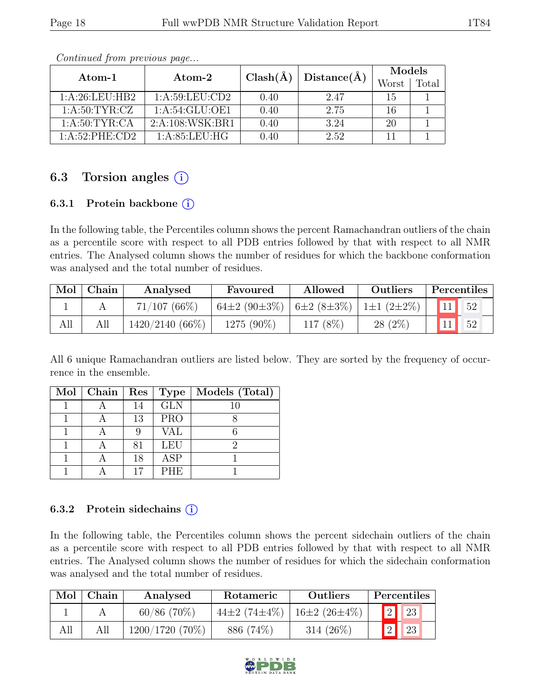| Atom- $1$        |                      | $Clash(\AA)$ | Distance(A) | Models |  |  |
|------------------|----------------------|--------------|-------------|--------|--|--|
|                  | $\rm{Atom}\text{-}2$ |              | Worst       | Total  |  |  |
| 1: A:26:LEU:HB2  | 1: A:59:LEU:CD2      | 0.40         | 2.47        | 15     |  |  |
| 1: A:50: TYR: CZ | 1: A:54: GLU:OF1     | 0.40         | 2.75        | 16     |  |  |
| 1: A:50: TYR:CA  | 2:A:108:WSK:BR1      | 0.40         | 3.24        | 20     |  |  |
| 1:A:52:PHE:CD2   | 1: A:85:LEU:HG       | 0.40         | 2.52        |        |  |  |

Continued from previous page...

## 6.3 Torsion angles  $(i)$

#### 6.3.1 Protein backbone  $(i)$

In the following table, the Percentiles column shows the percent Ramachandran outliers of the chain as a percentile score with respect to all PDB entries followed by that with respect to all NMR entries. The Analysed column shows the number of residues for which the backbone conformation was analysed and the total number of residues.

| Mol | Chain | Analysed        | Favoured                    | Allowed  | Outliers         | <b>Percentiles</b> |
|-----|-------|-----------------|-----------------------------|----------|------------------|--------------------|
|     |       | $71/107$ (66%)  | 64±2 (90±3\%)   6±2 (8±3\%) |          | $1\pm1(2\pm2\%)$ |                    |
| All |       | 1420/2140 (66%) | 1275 (90\%)                 | 117 (8%) | $28(2\%)$        |                    |

All 6 unique Ramachandran outliers are listed below. They are sorted by the frequency of occurrence in the ensemble.

| Mol | $ $ Chain $ $ | $\operatorname{Res}$ | Type       | Models (Total) |
|-----|---------------|----------------------|------------|----------------|
|     |               | 14                   | GLN        | 10             |
|     |               | 13                   | <b>PRO</b> |                |
|     |               |                      | VAL        |                |
|     |               | 81                   | <b>LEU</b> | ٬)             |
|     |               | 18                   | <b>ASP</b> |                |
|     |               |                      | <b>PHE</b> |                |

#### 6.3.2 Protein sidechains  $(i)$

In the following table, the Percentiles column shows the percent sidechain outliers of the chain as a percentile score with respect to all PDB entries followed by that with respect to all NMR entries. The Analysed column shows the number of residues for which the sidechain conformation was analysed and the total number of residues.

| Mol | Chain | Analysed          | Rotameric                  | <b>Outliers</b>    | Percentiles      |
|-----|-------|-------------------|----------------------------|--------------------|------------------|
|     |       | $60/86$ (70%)     | 44 $\pm 2$ (74 $\pm 4\%$ ) | $16\pm2(26\pm4\%)$ | 2 <br>$\vert$ 23 |
|     |       | $1200/1720(70\%)$ | 886 (74\%)                 | 314 $(26\%)$       | 2 <br>23         |

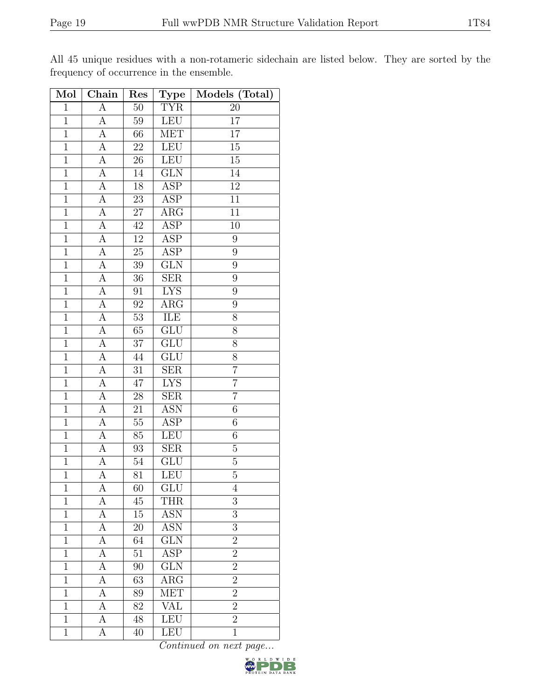| Mol            | $\overline{\text{Chain}}$ | Res             | Type                    | Models (Total)   |
|----------------|---------------------------|-----------------|-------------------------|------------------|
| $\mathbf{1}$   | $\boldsymbol{A}$          | 50              | <b>TYR</b>              | 20               |
| $\overline{1}$ | A                         | 59              | <b>LEU</b>              | 17               |
| $\overline{1}$ | $\overline{A}$            | 66              | <b>MET</b>              | 17               |
| $\mathbf{1}$   | A                         | 22              | LEU                     | $15\,$           |
| $\mathbf 1$    | $\overline{A}$            | 26              | <b>LEU</b>              | $\overline{15}$  |
| $\mathbf{1}$   | A                         | 14              | GLN                     | 14               |
| $\overline{1}$ | $\overline{A}$            | $\overline{18}$ | $\overline{\text{ASP}}$ | $\overline{12}$  |
| $\overline{1}$ | А                         | 23              | <b>ASP</b>              | 11               |
| $\overline{1}$ | A                         | 27              | $\rm{ARG}$              | 11               |
| $\overline{1}$ | А                         | 42              | $\overline{\text{ASP}}$ | 10               |
| $\overline{1}$ | A                         | $12\,$          | ASP                     | 9                |
| $\overline{1}$ | $\overline{A}$            | $25\,$          | $\overline{\text{ASP}}$ | 9                |
| $\mathbf 1$    | А                         | 39              | $\overline{\text{GLN}}$ | $\overline{9}$   |
| $\mathbf{1}$   | А                         | 36              | <b>SER</b>              | $\boldsymbol{9}$ |
| $\overline{1}$ | $\overline{A}$            | 91              | <b>LYS</b>              | $\overline{9}$   |
| $\mathbf{1}$   | $\overline{A}$            | 92              | $\rm{ARG}$              | $\overline{9}$   |
| $\overline{1}$ | $\overline{A}$            | $\overline{53}$ | <b>ILE</b>              | $\overline{8}$   |
| $\mathbf{1}$   | A                         | 65              | $\overline{\text{GLU}}$ | 8                |
| $\mathbf{1}$   | $\overline{A}$            | 37              | GLU                     | 8                |
| $\mathbf{1}$   | $\overline{A}$            | 44              | GLU                     | 8                |
| $\overline{1}$ | $\overline{A}$            | $31\,$          | SER                     | $\overline{7}$   |
| $\overline{1}$ | $\overline{A}$            | $\overline{47}$ | <b>LYS</b>              | $\overline{7}$   |
| $\mathbf{1}$   | A                         | 28              | <b>SER</b>              | $\overline{7}$   |
| $\mathbf{1}$   | $\overline{A}$            | 21              | <b>ASN</b>              | $\sqrt{6}$       |
| $\overline{1}$ | $\overline{A}$            | 55              | <b>ASP</b>              | $\sqrt{6}$       |
| $\mathbf{1}$   | A                         | 85              | <b>LEU</b>              | 6                |
| $\overline{1}$ | А                         | 93              | SER                     | $\overline{5}$   |
| $\mathbf{1}$   | А                         | 54              | GLU                     | $\bf 5$          |
| $\overline{1}$ | А                         | 81              | LEU                     | $\overline{5}$   |
| 1              | А                         | 60              | GLU                     | 4                |
| $\mathbf{1}$   | А                         | 45              | <b>THR</b>              | 3                |
| $\mathbf{1}$   | А                         | $15\,$          | <b>ASN</b>              | 3                |
| $\mathbf{1}$   | А                         | 20              | <b>ASN</b>              | 3                |
| $\mathbf{1}$   | А                         | 64              | $\overline{\text{GLN}}$ | $\overline{2}$   |
| $\mathbf{1}$   | A                         | 51              | ASP                     | $\overline{2}$   |
| $\overline{1}$ | $\overline{A}$            | 90              | GLN                     | $\overline{2}$   |
| $\mathbf{1}$   | А                         | 63              | $\rm{ARG}$              | $\overline{2}$   |
| $\overline{1}$ | А                         | 89              | MET                     | $\overline{2}$   |
| $\mathbf 1$    | A                         | 82              | <b>VAL</b>              | $\overline{2}$   |
| $\mathbf{1}$   | А                         | 48              | LEU                     | $\overline{2}$   |
| $\mathbf{1}$   | А                         | 40              | LEU                     | $\mathbf 1$      |

All 45 unique residues with a non-rotameric sidechain are listed below. They are sorted by the frequency of occurrence in the ensemble.

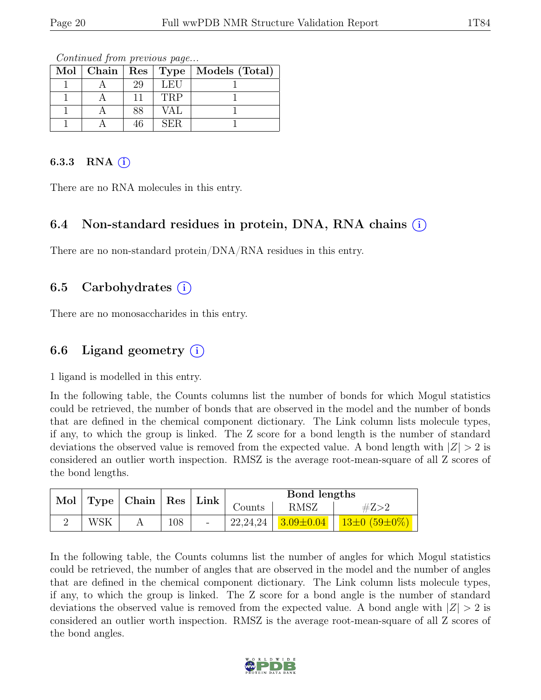|  |    |            | Mol   Chain   Res   Type   Models (Total) |
|--|----|------------|-------------------------------------------|
|  | 29 | LEU        |                                           |
|  |    | <b>TRP</b> |                                           |
|  | 38 | <b>VAL</b> |                                           |
|  |    | SER.       |                                           |

Continued from previous page...

#### 6.3.3 RNA  $(i)$

There are no RNA molecules in this entry.

#### 6.4 Non-standard residues in protein, DNA, RNA chains (i)

There are no non-standard protein/DNA/RNA residues in this entry.

#### 6.5 Carbohydrates  $(i)$

There are no monosaccharides in this entry.

#### 6.6 Ligand geometry  $(i)$

1 ligand is modelled in this entry.

In the following table, the Counts columns list the number of bonds for which Mogul statistics could be retrieved, the number of bonds that are observed in the model and the number of bonds that are defined in the chemical component dictionary. The Link column lists molecule types, if any, to which the group is linked. The Z score for a bond length is the number of standard deviations the observed value is removed from the expected value. A bond length with  $|Z| > 2$  is considered an outlier worth inspection. RMSZ is the average root-mean-square of all Z scores of the bond lengths.

|                                 |     |        |             | Bond lengths                 |                    |
|---------------------------------|-----|--------|-------------|------------------------------|--------------------|
| Mol   Type   Chain   Res   Link |     | Counts | <b>RMSZ</b> | #Z>2                         |                    |
|                                 | WSK | 108    |             | $22,24,24$   $3.09 \pm 0.04$ | $13\pm0(59\pm0\%)$ |

In the following table, the Counts columns list the number of angles for which Mogul statistics could be retrieved, the number of angles that are observed in the model and the number of angles that are defined in the chemical component dictionary. The Link column lists molecule types, if any, to which the group is linked. The Z score for a bond angle is the number of standard deviations the observed value is removed from the expected value. A bond angle with  $|Z| > 2$  is considered an outlier worth inspection. RMSZ is the average root-mean-square of all Z scores of the bond angles.

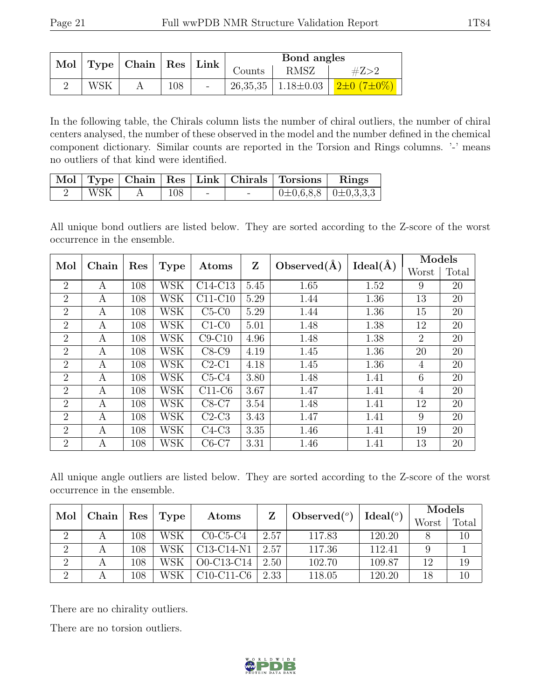|     | $\begin{array}{ c c c c c }\ \hline \ \ \text{Mol}} & \text{Type} & \text{Chain} & \text{Res} & \text{Link} & \text{Counds} \end{array}$ |     |        | Bond angles |      |                                                     |  |
|-----|------------------------------------------------------------------------------------------------------------------------------------------|-----|--------|-------------|------|-----------------------------------------------------|--|
|     |                                                                                                                                          |     |        |             | RMSZ |                                                     |  |
| WSK |                                                                                                                                          | 108 | $\sim$ |             |      | 26,35,35   1.18 $\pm$ 0.03   2 $\pm$ 0 (7 $\pm$ 0%) |  |

In the following table, the Chirals column lists the number of chiral outliers, the number of chiral centers analysed, the number of these observed in the model and the number defined in the chemical component dictionary. Similar counts are reported in the Torsion and Rings columns. '-' means no outliers of that kind were identified.

|     |     |  | Mol   Type   Chain   Res   Link   Chirals   Torsions   Rings |  |
|-----|-----|--|--------------------------------------------------------------|--|
| WSK | 108 |  | $\perp$ 0±0,6,8,8 $\perp$ 0±0,3,3,3                          |  |

All unique bond outliers are listed below. They are sorted according to the Z-score of the worst occurrence in the ensemble.

| Mol            | Chain | Res | <b>Type</b> | Atoms     | Z    | Observed $(A)$ | $Ideal(\AA)$ | Models         |       |
|----------------|-------|-----|-------------|-----------|------|----------------|--------------|----------------|-------|
|                |       |     |             |           |      |                |              | Worst          | Total |
| 2              | A     | 108 | WSK         | $C14-C13$ | 5.45 | 1.65           | 1.52         | 9              | 20    |
| $\overline{2}$ | А     | 108 | WSK         | $C11-C10$ | 5.29 | 1.44           | 1.36         | 13             | 20    |
| 2              | A     | 108 | WSK         | $C5-C0$   | 5.29 | 1.44           | 1.36         | 15             | 20    |
| $\overline{2}$ | А     | 108 | WSK         | $C1-C0$   | 5.01 | 1.48           | 1.38         | 12             | 20    |
| 2              | A     | 108 | WSK         | $C9-C10$  | 4.96 | 1.48           | 1.38         | $\overline{2}$ | 20    |
| 2              | A     | 108 | WSK         | $C8-C9$   | 4.19 | 1.45           | 1.36         | 20             | 20    |
| 2              | A     | 108 | WSK         | $C2-C1$   | 4.18 | 1.45           | 1.36         | 4              | 20    |
| 2              | A     | 108 | WSK         | $C5-C4$   | 3.80 | 1.48           | 1.41         | 6              | 20    |
| 2              | А     | 108 | WSK         | $C11-C6$  | 3.67 | 1.47           | 1.41         | 4              | 20    |
| 2              | A     | 108 | WSK         | $C8-C7$   | 3.54 | 1.48           | 1.41         | 12             | 20    |
| 2              | A     | 108 | WSK         | $C2-C3$   | 3.43 | 1.47           | 1.41         | 9              | 20    |
| $\overline{2}$ | A     | 108 | WSK         | $C4-C3$   | 3.35 | 1.46           | 1.41         | 19             | 20    |
| $\overline{2}$ | A     | 108 | WSK         | $C6-C7$   | 3.31 | 1.46           | 1.41         | 13             | 20    |

All unique angle outliers are listed below. They are sorted according to the Z-score of the worst occurrence in the ensemble.

|     |               |                      |      | Atoms                                            |      |                          | Ideal $(^\circ)$ | Models |       |
|-----|---------------|----------------------|------|--------------------------------------------------|------|--------------------------|------------------|--------|-------|
| Mol | ${\bf Chain}$ | $\operatorname{Res}$ | Type |                                                  |      | $\mid$ Observed $({}^o)$ |                  | Worst  | Total |
|     |               | 108                  | WSK  | $C0-C5-C4$                                       | 2.57 | 117.83                   | 120.20           |        | 10    |
|     |               | 108                  | WSK  | C <sub>13</sub> -C <sub>14</sub> -N <sub>1</sub> | 2.57 | 117.36                   | 112.41           |        |       |
| 2   |               | 108                  | WSK  | O0-C13-C14                                       | 2.50 | 102.70                   | 109.87           | 12     | 19    |
| റ   |               | 108                  | WSK  | $C10-C11-C6$                                     | 2.33 | 118.05                   | 120.20           | 18     | 10    |

There are no chirality outliers.

There are no torsion outliers.

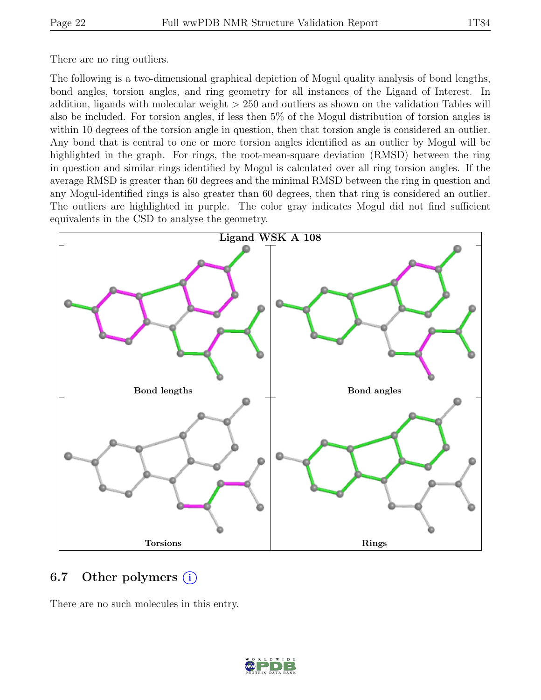There are no ring outliers.

The following is a two-dimensional graphical depiction of Mogul quality analysis of bond lengths, bond angles, torsion angles, and ring geometry for all instances of the Ligand of Interest. In addition, ligands with molecular weight > 250 and outliers as shown on the validation Tables will also be included. For torsion angles, if less then 5% of the Mogul distribution of torsion angles is within 10 degrees of the torsion angle in question, then that torsion angle is considered an outlier. Any bond that is central to one or more torsion angles identified as an outlier by Mogul will be highlighted in the graph. For rings, the root-mean-square deviation (RMSD) between the ring in question and similar rings identified by Mogul is calculated over all ring torsion angles. If the average RMSD is greater than 60 degrees and the minimal RMSD between the ring in question and any Mogul-identified rings is also greater than 60 degrees, then that ring is considered an outlier. The outliers are highlighted in purple. The color gray indicates Mogul did not find sufficient equivalents in the CSD to analyse the geometry.



#### 6.7 Other polymers  $(i)$

There are no such molecules in this entry.

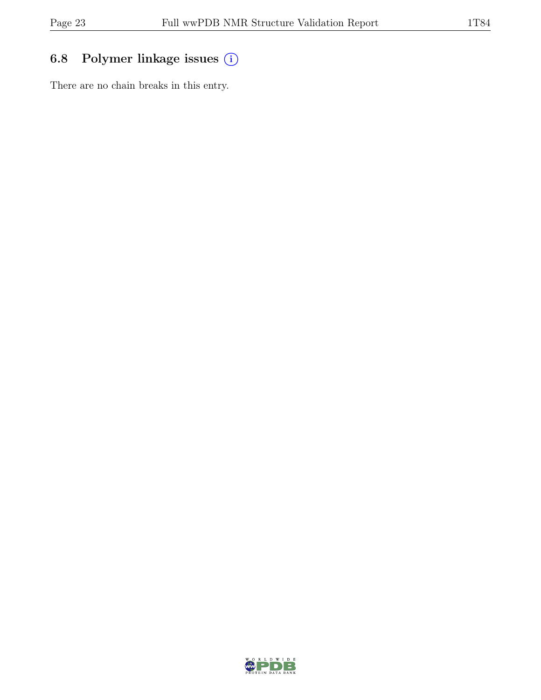## 6.8 Polymer linkage issues (i)

There are no chain breaks in this entry.